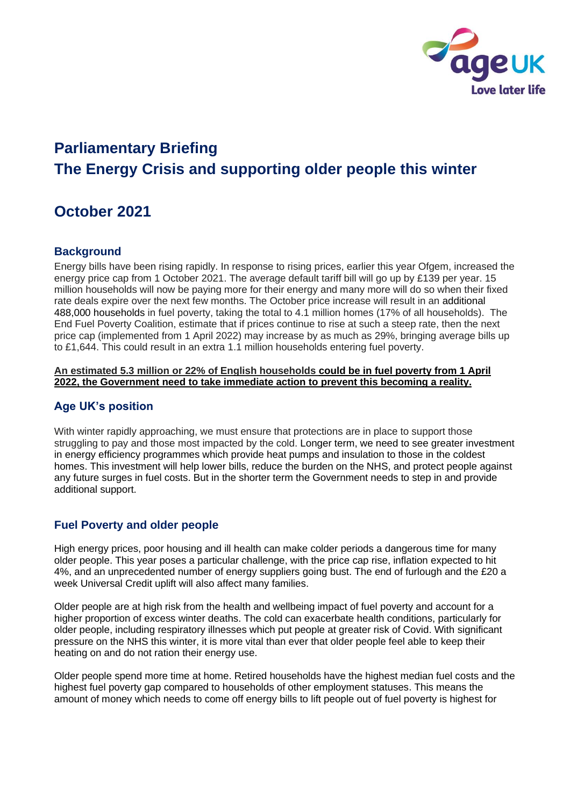

# **Parliamentary Briefing The Energy Crisis and supporting older people this winter**

## **October 2021**

### **Background**

Energy bills have been rising rapidly. In response to rising prices, earlier this year Ofgem, increased the energy price cap from 1 October 2021. The average default tariff bill will go up by £139 per year. 15 million households will now be paying more for their energy and many more will do so when their fixed rate deals expire over the next few months. The October price increase will result in an additional 488,000 households in fuel poverty, taking the total to 4.1 million homes (17% of all households). The End Fuel Poverty Coalition, estimate that if prices continue to rise at such a steep rate, then the next price cap (implemented from 1 April 2022) may increase by as much as 29%, bringing average bills up to £1,644. This could result in an extra 1.1 million households entering fuel poverty.

#### **An estimated 5.3 million or 22% of English households could be in fuel poverty from 1 April 2022, the Government need to take immediate action to prevent this becoming a reality.**

#### **Age UK's position**

With winter rapidly approaching, we must ensure that protections are in place to support those struggling to pay and those most impacted by the cold. Longer term, we need to see greater investment in energy efficiency programmes which provide heat pumps and insulation to those in the coldest homes. This investment will help lower bills, reduce the burden on the NHS, and protect people against any future surges in fuel costs. But in the shorter term the Government needs to step in and provide additional support.

### **Fuel Poverty and older people**

High energy prices, poor housing and ill health can make colder periods a dangerous time for many older people. This year poses a particular challenge, with the price cap rise, inflation expected to hit 4%, and an unprecedented number of energy suppliers going bust. The end of furlough and the £20 a week Universal Credit uplift will also affect many families.

Older people are at high risk from the health and wellbeing impact of fuel poverty and account for a higher proportion of excess winter deaths. The cold can exacerbate health conditions, particularly for older people, including respiratory illnesses which put people at greater risk of Covid. With significant pressure on the NHS this winter, it is more vital than ever that older people feel able to keep their heating on and do not ration their energy use.

Older people spend more time at home. Retired households have the highest median fuel costs and the highest fuel poverty gap compared to households of other employment statuses. This means the amount of money which needs to come off energy bills to lift people out of fuel poverty is highest for